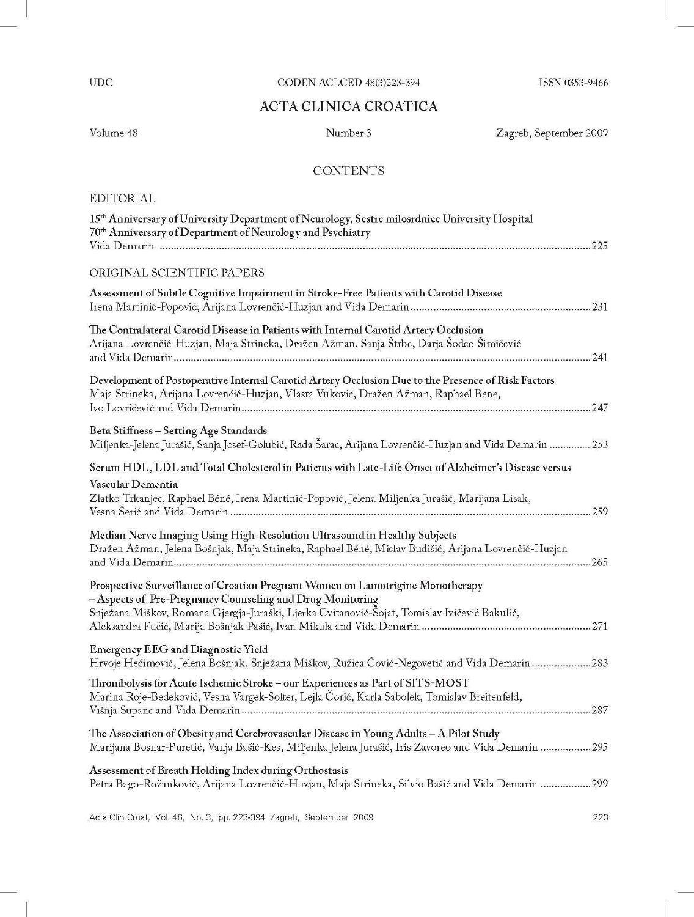UDC

## CODEN ACLCED 48(3)223-394

ISSN 0353-9466

## ACTA CLINICA CROATICA

Volume 48

Number 3

Zagreb, September 2009

## **CONTENTS**

## EDITORIAL

| 15th Anniversary of University Department of Neurology, Sestre milosrdnice University Hospital<br>70th Anniversary of Department of Neurology and Psychiatry                                                                                |
|---------------------------------------------------------------------------------------------------------------------------------------------------------------------------------------------------------------------------------------------|
| ORIGINAL SCIENTIFIC PAPERS                                                                                                                                                                                                                  |
| Assessment of Subtle Cognitive Impairment in Stroke-Free Patients with Carotid Disease                                                                                                                                                      |
| The Contralateral Carotid Disease in Patients with Internal Carotid Artery Occlusion<br>Arijana Lovrenčić-Huzjan, Maja Strineka, Dražen Ažman, Sanja Štrbe, Darja Šodec-Šimičević                                                           |
| Development of Postoperative Internal Carotid Artery Occlusion Due to the Presence of Risk Factors<br>Maja Strineka, Arijana Lovrenčić-Huzjan, Vlasta Vuković, Dražen Ažman, Raphael Bene,                                                  |
| Beta Stiffness - Setting Age Standards<br>Miljenka-Jelena Jurašić, Sanja Josef-Golubić, Rada Šarac, Arijana Lovrenčić-Huzjan and Vida Demarin  253                                                                                          |
| Serum HDL, LDL and Total Cholesterol in Patients with Late-Life Onset of Alzheimer's Disease versus<br>Vascular Dementia<br>Zlatko Trkanjec, Raphael Béné, Irena Martinić-Popović, Jelena Miljenka Jurašić, Marijana Lisak,                 |
| Median Nerve Imaging Using High-Resolution Ultrasound in Healthy Subjects<br>Dražen Ažman, Jelena Bošnjak, Maja Strineka, Raphael Béné, Mislav Budišić, Arijana Lovrenčić-Huzjan                                                            |
| Prospective Surveillance of Croatian Pregnant Women on Lamotrigine Monotherapy<br>- Aspects of Pre-Pregnancy Counseling and Drug Monitoring<br>Snježana Miškov, Romana Gjergja-Juraški, Ljerka Cvitanović-Šojat, Tomislav Ivičević Bakulić, |
| <b>Emergency EEG</b> and Diagnostic Yield<br>Hrvoje Hećimović, Jelena Bošnjak, Snježana Miškov, Ružica Čović-Negovetić and Vida Demarin283                                                                                                  |
| Thrombolysis for Acute Ischemic Stroke - our Experiences as Part of SITS-MOST<br>Marina Roje-Bedeković, Vesna Vargek-Solter, Lejla Čorić, Karla Sabolek, Tomislav Breitenfeld,                                                              |
| The Association of Obesity and Cerebrovascular Disease in Young Adults - A Pilot Study<br>Marijana Bosnar-Puretić, Vanja Bašić-Kes, Miljenka Jelena Jurašić, Iris Zavoreo and Vida Demarin 295                                              |
| Assessment of Breath Holding Index during Orthostasis<br>Petra Bago-Rožanković, Arijana Lovrenčić-Huzjan, Maja Strineka, Silvio Bašić and Vida Demarin 299                                                                                  |
|                                                                                                                                                                                                                                             |